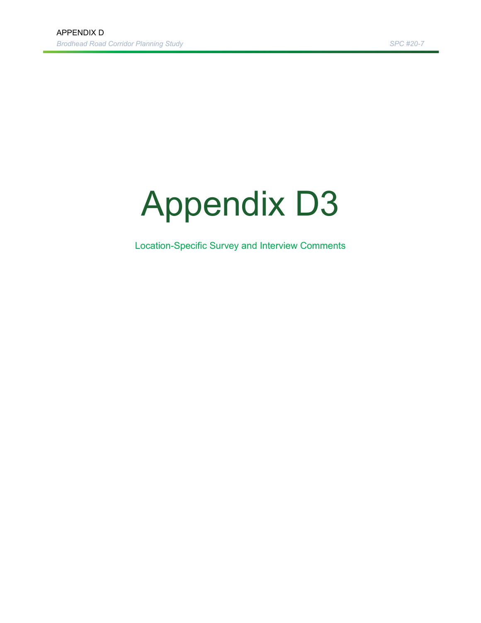# Appendix D3

Location-Specific Survey and Interview Comments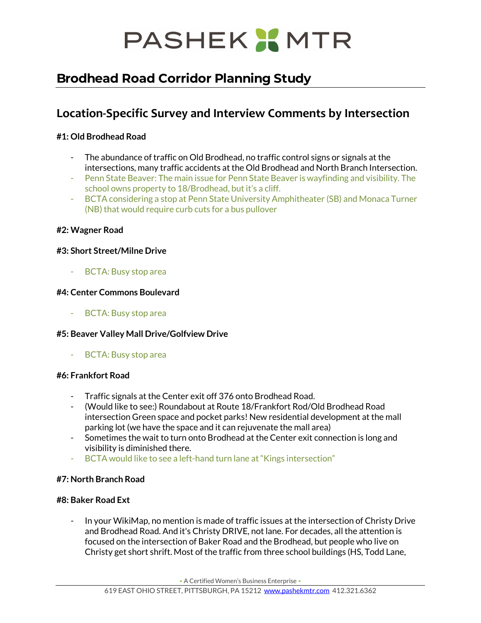# PASHEK X MTR

## **Brodhead Road Corridor Planning Study**

### **Location-Specific Survey and Interview Comments by Intersection**

#### **#1: Old Brodhead Road**

- The abundance of traffic on Old Brodhead, no traffic control signs or signals at the intersections, many traffic accidents at the Old Brodhead and North Branch Intersection.
- Penn State Beaver: The main issue for Penn State Beaver is wayfinding and visibility. The school owns property to 18/Brodhead, but it's a cliff.
- BCTA considering a stop at Penn State University Amphitheater (SB) and Monaca Turner (NB) that would require curb cuts for a bus pullover

#### **#2: Wagner Road**

#### **#3: Short Street/Milne Drive**

BCTA: Busy stop area

#### **#4: Center Commons Boulevard**

- BCTA: Busy stop area

#### **#5: Beaver Valley Mall Drive/Golfview Drive**

BCTA: Busy stop area

#### **#6: Frankfort Road**

- Traffic signals at the Center exit off 376 onto Brodhead Road.
- (Would like to see:) Roundabout at Route 18/Frankfort Rod/Old Brodhead Road intersection Green space and pocket parks! New residential development at the mall parking lot (we have the space and it can rejuvenate the mall area)
- Sometimes the wait to turn onto Brodhead at the Center exit connection is long and visibility is diminished there.
- BCTA would like to see a left-hand turn lane at "Kings intersection"

#### **#7: North Branch Road**

#### **#8: Baker Road Ext**

- In your WikiMap, no mention is made of traffic issues at the intersection of Christy Drive and Brodhead Road. And it's Christy DRIVE, not lane. For decades, all the attention is focused on the intersection of Baker Road and the Brodhead, but people who live on Christy get short shrift. Most of the traffic from three school buildings (HS, Todd Lane,

• A Certified Women's Business Enterprise •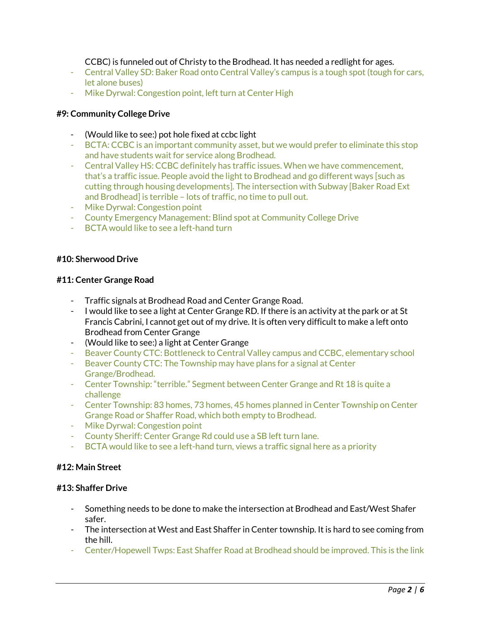CCBC) is funneled out of Christy to the Brodhead. It has needed a redlight for ages.

- Central Valley SD: Baker Road onto Central Valley's campus is a tough spot (tough for cars, let alone buses)
- Mike Dyrwal: Congestion point, left turn at Center High

#### **#9: Community College Drive**

- (Would like to see:) pot hole fixed at ccbc light
- BCTA: CCBC is an important community asset, but we would prefer to eliminate this stop and have students wait for service along Brodhead.
- Central Valley HS: CCBC definitely has traffic issues. When we have commencement, that's a traffic issue. People avoid the light to Brodhead and go different ways [such as cutting through housing developments]. The intersection with Subway [Baker Road Ext and Brodhead] is terrible – lots of traffic, no time to pull out.
- Mike Dyrwal: Congestion point
- County Emergency Management: Blind spot at Community College Drive
- BCTA would like to see a left-hand turn

#### **#10: Sherwood Drive**

#### **#11: Center Grange Road**

- Traffic signals at Brodhead Road and Center Grange Road.
- I would like to see a light at Center Grange RD. If there is an activity at the park or at St Francis Cabrini, I cannot get out of my drive. It is often very difficult to make a left onto Brodhead from Center Grange
- (Would like to see:) a light at Center Grange
- Beaver County CTC: Bottleneck to Central Valley campus and CCBC, elementary school
- Beaver County CTC: The Township may have plans for a signal at Center Grange/Brodhead.
- Center Township: "terrible." Segment between Center Grange and Rt 18 is quite a challenge
- Center Township: 83 homes, 73 homes, 45 homes planned in Center Township on Center Grange Road or Shaffer Road, which both empty to Brodhead.
- Mike Dyrwal: Congestion point
- County Sheriff: Center Grange Rd could use a SB left turn lane.
- BCTA would like to see a left-hand turn, views a traffic signal here as a priority

#### **#12: Main Street**

#### **#13: Shaffer Drive**

- Something needs to be done to make the intersection at Brodhead and East/West Shafer safer.
- The intersection at West and East Shaffer in Center township. It is hard to see coming from the hill.
- Center/Hopewell Twps: East Shaffer Road at Brodhead should be improved. This is the link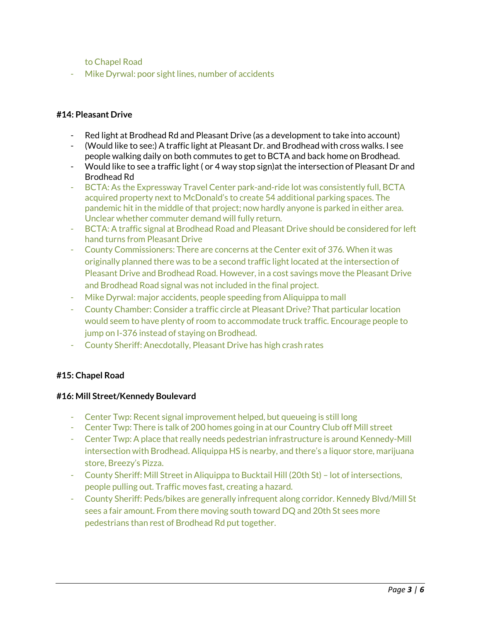to Chapel Road

Mike Dyrwal: poor sight lines, number of accidents

#### **#14: Pleasant Drive**

- Red light at Brodhead Rd and Pleasant Drive (as a development to take into account)
- (Would like to see:) A traffic light at Pleasant Dr. and Brodhead with cross walks. I see people walking daily on both commutes to get to BCTA and back home on Brodhead.
- Would like to see a traffic light ( or 4 way stop sign)at the intersection of Pleasant Dr and Brodhead Rd
- BCTA: As the Expressway Travel Center park-and-ride lot was consistently full, BCTA acquired property next to McDonald's to create 54 additional parking spaces. The pandemic hit in the middle of that project; now hardly anyone is parked in either area. Unclear whether commuter demand will fully return.
- BCTA: A traffic signal at Brodhead Road and Pleasant Drive should be considered for left hand turns from Pleasant Drive
- County Commissioners: There are concerns at the Center exit of 376. When it was originally planned there was to be a second traffic light located at the intersection of Pleasant Drive and Brodhead Road. However, in a cost savings move the Pleasant Drive and Brodhead Road signal was not included in the final project.
- Mike Dyrwal: major accidents, people speeding from Aliquippa to mall
- County Chamber: Consider a traffic circle at Pleasant Drive? That particular location would seem to have plenty of room to accommodate truck traffic. Encourage people to jump on I-376 instead of staying on Brodhead.
- County Sheriff: Anecdotally, Pleasant Drive has high crash rates

#### **#15: Chapel Road**

#### **#16: Mill Street/Kennedy Boulevard**

- Center Twp: Recent signal improvement helped, but queueing is still long
- Center Twp: There is talk of 200 homes going in at our Country Club off Mill street
- Center Twp: A place that really needs pedestrian infrastructure is around Kennedy-Mill intersection with Brodhead. Aliquippa HS is nearby, and there's a liquor store, marijuana store, Breezy's Pizza.
- County Sheriff: Mill Street in Aliquippa to Bucktail Hill (20th St) lot of intersections, people pulling out. Traffic moves fast, creating a hazard.
- County Sheriff: Peds/bikes are generally infrequent along corridor. Kennedy Blvd/Mill St sees a fair amount. From there moving south toward DQ and 20th St sees more pedestrians than rest of Brodhead Rd put together.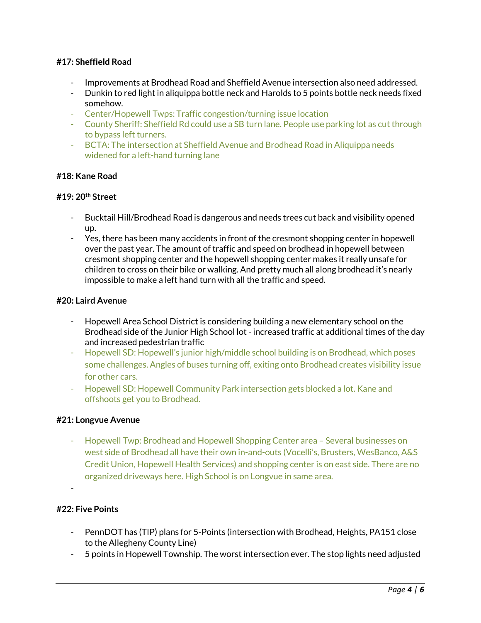#### **#17: Sheffield Road**

- Improvements at Brodhead Road and Sheffield Avenue intersection also need addressed.
- Dunkin to red light in aliquippa bottle neck and Harolds to 5 points bottle neck needs fixed somehow.
- Center/Hopewell Twps: Traffic congestion/turning issue location
- County Sheriff: Sheffield Rd could use a SB turn lane. People use parking lot as cut through to bypass left turners.
- BCTA: The intersection at Sheffield Avenue and Brodhead Road in Aliquippa needs widened for a left-hand turning lane

#### **#18: Kane Road**

#### **#19: 20th Street**

- Bucktail Hill/Brodhead Road is dangerous and needs trees cut back and visibility opened up.
- Yes, there has been many accidents in front of the cresmont shopping center in hopewell over the past year. The amount of traffic and speed on brodhead in hopewell between cresmont shopping center and the hopewell shopping center makes it really unsafe for children to cross on their bike or walking. And pretty much all along brodhead it's nearly impossible to make a left hand turn with all the traffic and speed.

#### **#20: Laird Avenue**

- Hopewell Area School District is considering building a new elementary school on the Brodhead side of the Junior High School lot - increased traffic at additional times of the day and increased pedestrian traffic
- Hopewell SD: Hopewell's junior high/middle school building is on Brodhead, which poses some challenges. Angles of buses turning off, exiting onto Brodhead creates visibility issue for other cars.
- Hopewell SD: Hopewell Community Park intersection gets blocked a lot. Kane and offshoots get you to Brodhead.

#### **#21: Longvue Avenue**

- Hopewell Twp: Brodhead and Hopewell Shopping Center area – Several businesses on west side of Brodhead all have their own in-and-outs (Vocelli's, Brusters, WesBanco, A&S Credit Union, Hopewell Health Services) and shopping center is on east side. There are no organized driveways here. High School is on Longvue in same area.

#### -

#### **#22: Five Points**

- PennDOT has (TIP) plans for 5-Points (intersection with Brodhead, Heights, PA151 close to the Allegheny County Line)
- 5 points in Hopewell Township. The worst intersection ever. The stop lights need adjusted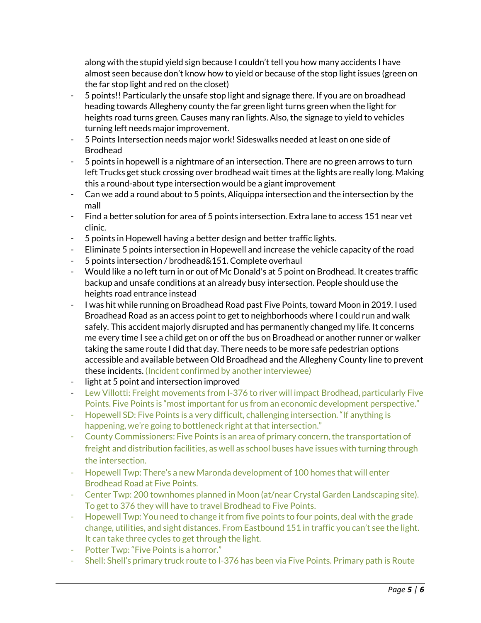along with the stupid yield sign because I couldn't tell you how many accidents I have almost seen because don't know how to yield or because of the stop light issues (green on the far stop light and red on the closet)

- 5 points!! Particularly the unsafe stop light and signage there. If you are on broadhead heading towards Allegheny county the far green light turns green when the light for heights road turns green. Causes many ran lights. Also, the signage to yield to vehicles turning left needs major improvement.
- 5 Points Intersection needs major work! Sideswalks needed at least on one side of Brodhead
- 5 points in hopewell is a nightmare of an intersection. There are no green arrows to turn left Trucks get stuck crossing over brodhead wait times at the lights are really long. Making this a round-about type intersection would be a giant improvement
- Can we add a round about to 5 points, Aliquippa intersection and the intersection by the mall
- Find a better solution for area of 5 points intersection. Extra lane to access 151 near vet clinic.
- 5 points in Hopewell having a better design and better traffic lights.
- Eliminate 5 points intersection in Hopewell and increase the vehicle capacity of the road
- 5 points intersection / brodhead&151. Complete overhaul
- Would like a no left turn in or out of Mc Donald's at 5 point on Brodhead. It creates traffic backup and unsafe conditions at an already busy intersection. People should use the heights road entrance instead
- I was hit while running on Broadhead Road past Five Points, toward Moon in 2019. I used Broadhead Road as an access point to get to neighborhoods where I could run and walk safely. This accident majorly disrupted and has permanently changed my life. It concerns me every time I see a child get on or off the bus on Broadhead or another runner or walker taking the same route I did that day. There needs to be more safe pedestrian options accessible and available between Old Broadhead and the Allegheny County line to prevent these incidents. (Incident confirmed by another interviewee)
- light at 5 point and intersection improved
- Lew Villotti: Freight movements from I-376 to river will impact Brodhead, particularly Five Points. Five Points is "most important for us from an economic development perspective."
- Hopewell SD: Five Points is a very difficult, challenging intersection. "If anything is happening, we're going to bottleneck right at that intersection."
- County Commissioners: Five Points is an area of primary concern, the transportation of freight and distribution facilities, as well as school buses have issues with turning through the intersection.
- Hopewell Twp: There's a new Maronda development of 100 homes that will enter Brodhead Road at Five Points.
- Center Twp: 200 townhomes planned in Moon (at/near Crystal Garden Landscaping site). To get to 376 they will have to travel Brodhead to Five Points.
- Hopewell Twp: You need to change it from five points to four points, deal with the grade change, utilities, and sight distances. From Eastbound 151 in traffic you can't see the light. It can take three cycles to get through the light.
- Potter Twp: "Five Points is a horror."
- Shell: Shell's primary truck route to I-376 has been via Five Points. Primary path is Route